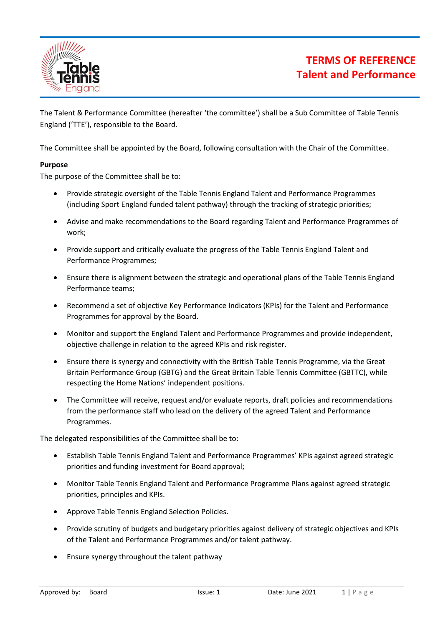

# **TERMS OF REFERENCE Talent and Performance**

The Talent & Performance Committee (hereafter 'the committee') shall be a Sub Committee of Table Tennis England ('TTE'), responsible to the Board.

The Committee shall be appointed by the Board, following consultation with the Chair of the Committee.

### **Purpose**

The purpose of the Committee shall be to:

- Provide strategic oversight of the Table Tennis England Talent and Performance Programmes (including Sport England funded talent pathway) through the tracking of strategic priorities;
- Advise and make recommendations to the Board regarding Talent and Performance Programmes of work;
- Provide support and critically evaluate the progress of the Table Tennis England Talent and Performance Programmes;
- Ensure there is alignment between the strategic and operational plans of the Table Tennis England Performance teams;
- Recommend a set of objective Key Performance Indicators (KPIs) for the Talent and Performance Programmes for approval by the Board.
- Monitor and support the England Talent and Performance Programmes and provide independent, objective challenge in relation to the agreed KPIs and risk register.
- Ensure there is synergy and connectivity with the British Table Tennis Programme, via the Great Britain Performance Group (GBTG) and the Great Britain Table Tennis Committee (GBTTC), while respecting the Home Nations' independent positions.
- The Committee will receive, request and/or evaluate reports, draft policies and recommendations from the performance staff who lead on the delivery of the agreed Talent and Performance Programmes.

The delegated responsibilities of the Committee shall be to:

- Establish Table Tennis England Talent and Performance Programmes' KPIs against agreed strategic priorities and funding investment for Board approval;
- Monitor Table Tennis England Talent and Performance Programme Plans against agreed strategic priorities, principles and KPIs.
- Approve Table Tennis England Selection Policies.
- Provide scrutiny of budgets and budgetary priorities against delivery of strategic objectives and KPIs of the Talent and Performance Programmes and/or talent pathway.
- Ensure synergy throughout the talent pathway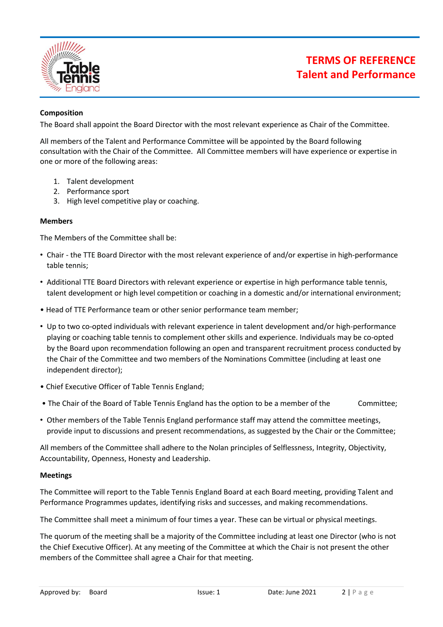

# **TERMS OF REFERENCE Talent and Performance**

### **Composition**

The Board shall appoint the Board Director with the most relevant experience as Chair of the Committee.

All members of the Talent and Performance Committee will be appointed by the Board following consultation with the Chair of the Committee. All Committee members will have experience or expertise in one or more of the following areas:

- 1. Talent development
- 2. Performance sport
- 3. High level competitive play or coaching.

#### **Members**

The Members of the Committee shall be:

- Chair the TTE Board Director with the most relevant experience of and/or expertise in high-performance table tennis;
- Additional TTE Board Directors with relevant experience or expertise in high performance table tennis, talent development or high level competition or coaching in a domestic and/or international environment;
- Head of TTE Performance team or other senior performance team member;
- Up to two co-opted individuals with relevant experience in talent development and/or high-performance playing or coaching table tennis to complement other skills and experience. Individuals may be co-opted by the Board upon recommendation following an open and transparent recruitment process conducted by the Chair of the Committee and two members of the Nominations Committee (including at least one independent director);
- Chief Executive Officer of Table Tennis England;
- The Chair of the Board of Table Tennis England has the option to be a member of the Committee;
- Other members of the Table Tennis England performance staff may attend the committee meetings, provide input to discussions and present recommendations, as suggested by the Chair or the Committee;

All members of the Committee shall adhere to the Nolan principles of Selflessness, Integrity, Objectivity, Accountability, Openness, Honesty and Leadership.

#### **Meetings**

The Committee will report to the Table Tennis England Board at each Board meeting, providing Talent and Performance Programmes updates, identifying risks and successes, and making recommendations.

The Committee shall meet a minimum of four times a year. These can be virtual or physical meetings.

The quorum of the meeting shall be a majority of the Committee including at least one Director (who is not the Chief Executive Officer). At any meeting of the Committee at which the Chair is not present the other members of the Committee shall agree a Chair for that meeting.